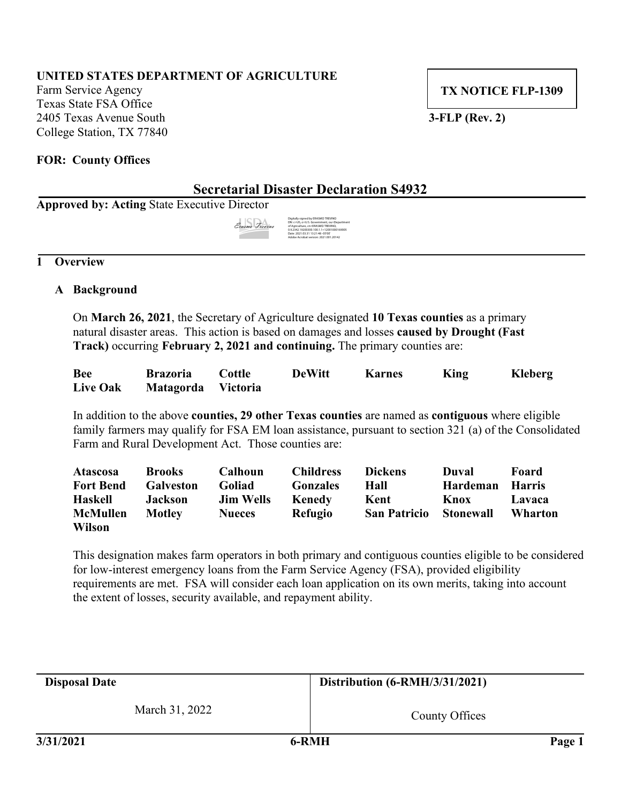# **UNITED STATES DEPARTMENT OF AGRICULTURE**

Farm Service Agency Texas State FSA Office 2405 Texas Avenue South **3-FLP (Rev. 2)** College Station, TX 77840

**TX NOTICE FLP-1309**

### **FOR: County Offices**

# **Secretarial Disaster Declaration S4932**

**Approved by: Acting** State Executive Director

| Erasmo Trevino | Digitally signed by ERASMO TREVINO<br>DN: c=US, o=U.S. Government, ou=Department<br>of Agriculture, cn=ERASMO TREVINO.<br>0.9.2342.19200300.100.1.1=12001000169005<br>Date: 2021.03.31 13:21:48 -05'00' |
|----------------|---------------------------------------------------------------------------------------------------------------------------------------------------------------------------------------------------------|
|                | Adobe Acrobat version: 2021.001.20142                                                                                                                                                                   |

### **1 Overview**

# **A Background**

On **March 26, 2021**, the Secretary of Agriculture designated **10 Texas counties** as a primary natural disaster areas. This action is based on damages and losses **caused by Drought (Fast Track)** occurring **February 2, 2021 and continuing.** The primary counties are:

| <b>Bee</b>      | <b>Brazoria</b>    | Cottle | <b>DeWitt</b> | <b>Karnes</b> | King | Kleberg |
|-----------------|--------------------|--------|---------------|---------------|------|---------|
| <b>Live Oak</b> | Matagorda Victoria |        |               |               |      |         |

In addition to the above **counties, 29 other Texas counties** are named as **contiguous** where eligible family farmers may qualify for FSA EM loan assistance, pursuant to section 321 (a) of the Consolidated Farm and Rural Development Act. Those counties are:

| <b>Atascosa</b>  | <b>Brooks</b>    | Calhoun          | <b>Childress</b> | <b>Dickens</b>      | Duval     | Foard         |
|------------------|------------------|------------------|------------------|---------------------|-----------|---------------|
| <b>Fort Bend</b> | <b>Galveston</b> | <b>Goliad</b>    | <b>Gonzales</b>  | Hall                | Hardeman  | <b>Harris</b> |
| <b>Haskell</b>   | <b>Jackson</b>   | <b>Jim Wells</b> | Kenedy           | Kent                | Knox      | Lavaca        |
| <b>McMullen</b>  | <b>Motley</b>    | <b>Nueces</b>    | <b>Refugio</b>   | <b>San Patricio</b> | Stonewall | Wharton       |
| <b>Wilson</b>    |                  |                  |                  |                     |           |               |

This designation makes farm operators in both primary and contiguous counties eligible to be considered for low-interest emergency loans from the Farm Service Agency (FSA), provided eligibility requirements are met. FSA will consider each loan application on its own merits, taking into account the extent of losses, security available, and repayment ability.

| <b>Disposal Date</b> | Distribution (6-RMH/3/31/2021) |        |
|----------------------|--------------------------------|--------|
| March 31, 2022       | County Offices                 |        |
| 3/31/2021            | 6-RMH                          | Page 1 |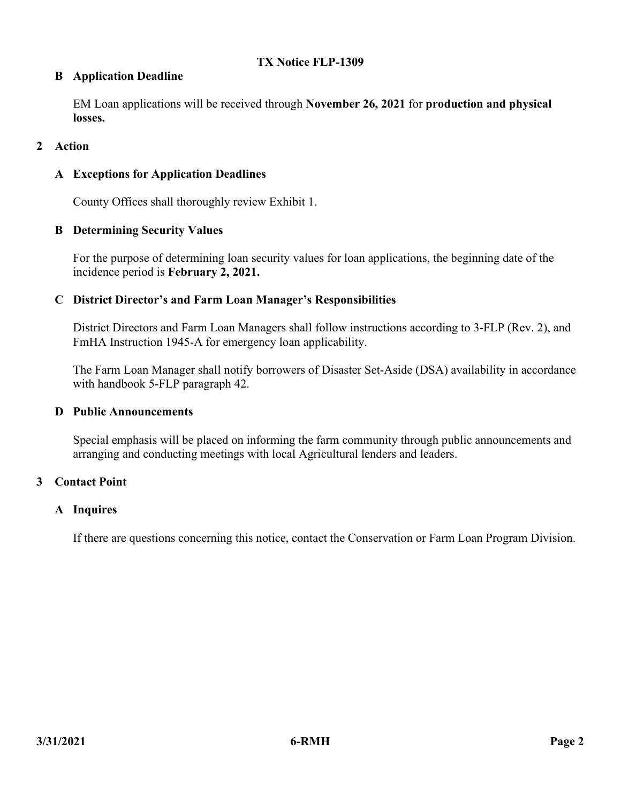# **TX Notice FLP-1309**

# **B Application Deadline**

EM Loan applications will be received through **November 26, 2021** for **production and physical losses.**

# **2 Action**

# **A Exceptions for Application Deadlines**

County Offices shall thoroughly review Exhibit 1.

# **B Determining Security Values**

For the purpose of determining loan security values for loan applications, the beginning date of the incidence period is **February 2, 2021.**

# **C District Director's and Farm Loan Manager's Responsibilities**

District Directors and Farm Loan Managers shall follow instructions according to 3-FLP (Rev. 2), and FmHA Instruction 1945-A for emergency loan applicability.

The Farm Loan Manager shall notify borrowers of Disaster Set-Aside (DSA) availability in accordance with handbook 5-FLP paragraph 42.

### **D Public Announcements**

Special emphasis will be placed on informing the farm community through public announcements and arranging and conducting meetings with local Agricultural lenders and leaders.

### **3 Contact Point**

### **A Inquires**

If there are questions concerning this notice, contact the Conservation or Farm Loan Program Division.